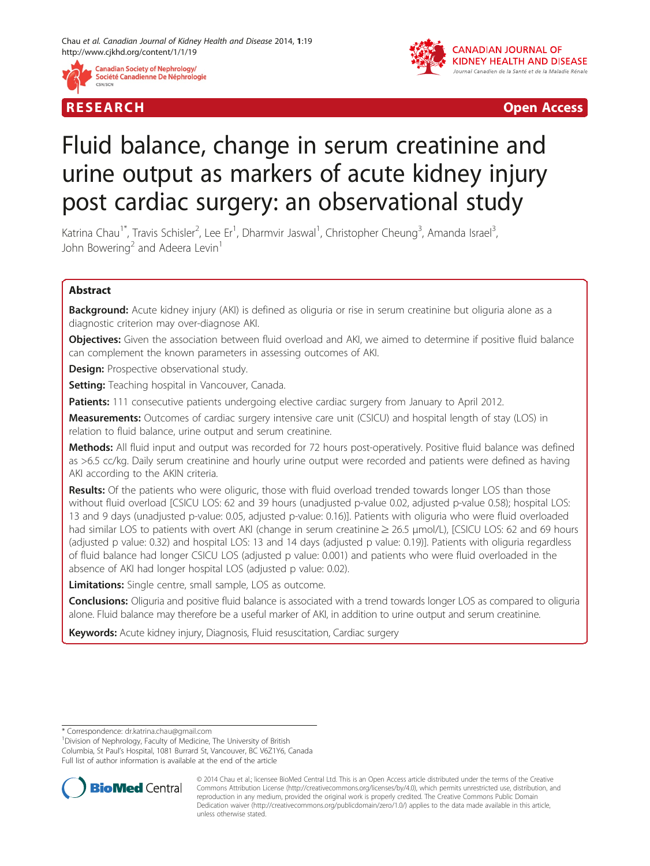



R E S EAR CH Open Access

# Fluid balance, change in serum creatinine and urine output as markers of acute kidney injury post cardiac surgery: an observational study

Katrina Chau<sup>1\*</sup>, Travis Schisler<sup>2</sup>, Lee Er<sup>1</sup>, Dharmvir Jaswal<sup>1</sup>, Christopher Cheung<sup>3</sup>, Amanda Israel<sup>3</sup> , John Bowering<sup>2</sup> and Adeera Levin<sup>1</sup>

# Abstract

Background: Acute kidney injury (AKI) is defined as oliguria or rise in serum creatinine but oliguria alone as a diagnostic criterion may over-diagnose AKI.

**Objectives:** Given the association between fluid overload and AKI, we aimed to determine if positive fluid balance can complement the known parameters in assessing outcomes of AKI.

**Design:** Prospective observational study.

Setting: Teaching hospital in Vancouver, Canada.

Patients: 111 consecutive patients undergoing elective cardiac surgery from January to April 2012.

Measurements: Outcomes of cardiac surgery intensive care unit (CSICU) and hospital length of stay (LOS) in relation to fluid balance, urine output and serum creatinine.

Methods: All fluid input and output was recorded for 72 hours post-operatively. Positive fluid balance was defined as >6.5 cc/kg. Daily serum creatinine and hourly urine output were recorded and patients were defined as having AKI according to the AKIN criteria.

Results: Of the patients who were oliguric, those with fluid overload trended towards longer LOS than those without fluid overload [CSICU LOS: 62 and 39 hours (unadjusted p-value 0.02, adjusted p-value 0.58); hospital LOS: 13 and 9 days (unadjusted p-value: 0.05, adjusted p-value: 0.16)]. Patients with oliguria who were fluid overloaded had similar LOS to patients with overt AKI (change in serum creatinine ≥ 26.5 µmol/L), [CSICU LOS: 62 and 69 hours (adjusted p value: 0.32) and hospital LOS: 13 and 14 days (adjusted p value: 0.19)]. Patients with oliguria regardless of fluid balance had longer CSICU LOS (adjusted p value: 0.001) and patients who were fluid overloaded in the absence of AKI had longer hospital LOS (adjusted p value: 0.02).

**Limitations:** Single centre, small sample, LOS as outcome.

Conclusions: Oliguria and positive fluid balance is associated with a trend towards longer LOS as compared to oliguria alone. Fluid balance may therefore be a useful marker of AKI, in addition to urine output and serum creatinine.

Keywords: Acute kidney injury, Diagnosis, Fluid resuscitation, Cardiac surgery

\* Correspondence: [dr.katrina.chau@gmail.com](mailto:dr.katrina.chau@gmail.com) <sup>1</sup>

<sup>1</sup> Division of Nephrology, Faculty of Medicine, The University of British Columbia, St Paul's Hospital, 1081 Burrard St, Vancouver, BC V6Z1Y6, Canada

Full list of author information is available at the end of the article



© 2014 Chau et al.; licensee BioMed Central Ltd. This is an Open Access article distributed under the terms of the Creative Commons Attribution License [\(http://creativecommons.org/licenses/by/4.0\)](http://creativecommons.org/licenses/by/4.0), which permits unrestricted use, distribution, and reproduction in any medium, provided the original work is properly credited. The Creative Commons Public Domain Dedication waiver [\(http://creativecommons.org/publicdomain/zero/1.0/](http://creativecommons.org/publicdomain/zero/1.0/)) applies to the data made available in this article, unless otherwise stated.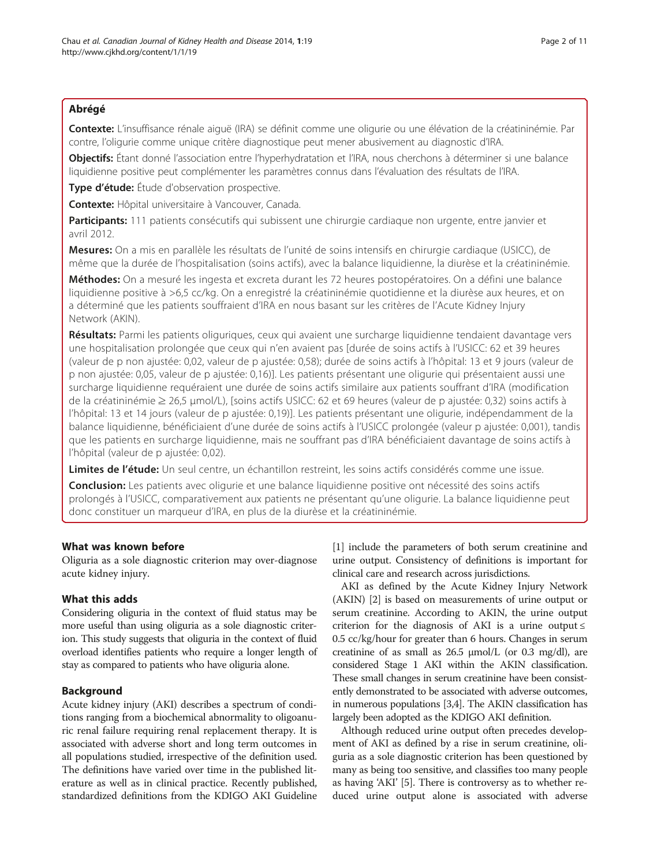# Abrégé

Contexte: L'insuffisance rénale aiguë (IRA) se définit comme une oligurie ou une élévation de la créatininémie. Par contre, l'oligurie comme unique critère diagnostique peut mener abusivement au diagnostic d'IRA.

Objectifs: Étant donné l'association entre l'hyperhydratation et l'IRA, nous cherchons à déterminer si une balance liquidienne positive peut complémenter les paramètres connus dans l'évaluation des résultats de l'IRA.

Type d'étude: Étude d'observation prospective.

Contexte: Hôpital universitaire à Vancouver, Canada.

Participants: 111 patients consécutifs qui subissent une chirurgie cardiaque non urgente, entre janvier et avril 2012.

Mesures: On a mis en parallèle les résultats de l'unité de soins intensifs en chirurgie cardiaque (USICC), de même que la durée de l'hospitalisation (soins actifs), avec la balance liquidienne, la diurèse et la créatininémie.

Méthodes: On a mesuré les ingesta et excreta durant les 72 heures postopératoires. On a défini une balance liquidienne positive à >6,5 cc/kg. On a enregistré la créatininémie quotidienne et la diurèse aux heures, et on a déterminé que les patients souffraient d'IRA en nous basant sur les critères de l'Acute Kidney Injury Network (AKIN).

Résultats: Parmi les patients oliguriques, ceux qui avaient une surcharge liquidienne tendaient davantage vers une hospitalisation prolongée que ceux qui n'en avaient pas [durée de soins actifs à l'USICC: 62 et 39 heures (valeur de p non ajustée: 0,02, valeur de p ajustée: 0,58); durée de soins actifs à l'hôpital: 13 et 9 jours (valeur de p non ajustée: 0,05, valeur de p ajustée: 0,16)]. Les patients présentant une oligurie qui présentaient aussi une surcharge liquidienne requéraient une durée de soins actifs similaire aux patients souffrant d'IRA (modification de la créatininémie ≥ 26,5 µmol/L), [soins actifs USICC: 62 et 69 heures (valeur de p ajustée: 0,32) soins actifs à l'hôpital: 13 et 14 jours (valeur de p ajustée: 0,19)]. Les patients présentant une oligurie, indépendamment de la balance liquidienne, bénéficiaient d'une durée de soins actifs à l'USICC prolongée (valeur p ajustée: 0,001), tandis que les patients en surcharge liquidienne, mais ne souffrant pas d'IRA bénéficiaient davantage de soins actifs à l'hôpital (valeur de p ajustée: 0,02).

Limites de l'étude: Un seul centre, un échantillon restreint, les soins actifs considérés comme une issue.

Conclusion: Les patients avec oligurie et une balance liquidienne positive ont nécessité des soins actifs prolongés à l'USICC, comparativement aux patients ne présentant qu'une oligurie. La balance liquidienne peut donc constituer un marqueur d'IRA, en plus de la diurèse et la créatininémie.

## What was known before

Oliguria as a sole diagnostic criterion may over-diagnose acute kidney injury.

#### What this adds

Considering oliguria in the context of fluid status may be more useful than using oliguria as a sole diagnostic criterion. This study suggests that oliguria in the context of fluid overload identifies patients who require a longer length of stay as compared to patients who have oliguria alone.

#### Background

Acute kidney injury (AKI) describes a spectrum of conditions ranging from a biochemical abnormality to oligoanuric renal failure requiring renal replacement therapy. It is associated with adverse short and long term outcomes in all populations studied, irrespective of the definition used. The definitions have varied over time in the published literature as well as in clinical practice. Recently published, standardized definitions from the KDIGO AKI Guideline [[1\]](#page-9-0) include the parameters of both serum creatinine and urine output. Consistency of definitions is important for clinical care and research across jurisdictions.

AKI as defined by the Acute Kidney Injury Network (AKIN) [\[2](#page-9-0)] is based on measurements of urine output or serum creatinine. According to AKIN, the urine output criterion for the diagnosis of AKI is a urine output  $\leq$ 0.5 cc/kg/hour for greater than 6 hours. Changes in serum creatinine of as small as  $26.5 \mu$ mol/L (or 0.3 mg/dl), are considered Stage 1 AKI within the AKIN classification. These small changes in serum creatinine have been consistently demonstrated to be associated with adverse outcomes, in numerous populations [\[3](#page-9-0)[,4\]](#page-10-0). The AKIN classification has largely been adopted as the KDIGO AKI definition.

Although reduced urine output often precedes development of AKI as defined by a rise in serum creatinine, oliguria as a sole diagnostic criterion has been questioned by many as being too sensitive, and classifies too many people as having 'AKI' [\[5](#page-10-0)]. There is controversy as to whether reduced urine output alone is associated with adverse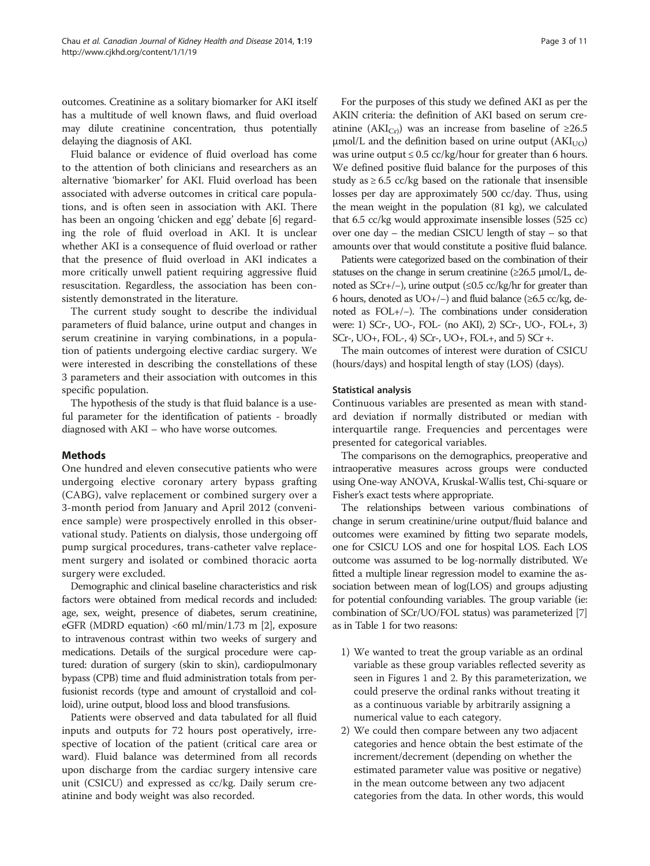outcomes. Creatinine as a solitary biomarker for AKI itself has a multitude of well known flaws, and fluid overload may dilute creatinine concentration, thus potentially delaying the diagnosis of AKI.

Fluid balance or evidence of fluid overload has come to the attention of both clinicians and researchers as an alternative 'biomarker' for AKI. Fluid overload has been associated with adverse outcomes in critical care populations, and is often seen in association with AKI. There has been an ongoing 'chicken and egg' debate [[6\]](#page-10-0) regarding the role of fluid overload in AKI. It is unclear whether AKI is a consequence of fluid overload or rather that the presence of fluid overload in AKI indicates a more critically unwell patient requiring aggressive fluid resuscitation. Regardless, the association has been consistently demonstrated in the literature.

The current study sought to describe the individual parameters of fluid balance, urine output and changes in serum creatinine in varying combinations, in a population of patients undergoing elective cardiac surgery. We were interested in describing the constellations of these 3 parameters and their association with outcomes in this specific population.

The hypothesis of the study is that fluid balance is a useful parameter for the identification of patients - broadly diagnosed with AKI – who have worse outcomes.

#### Methods

One hundred and eleven consecutive patients who were undergoing elective coronary artery bypass grafting (CABG), valve replacement or combined surgery over a 3-month period from January and April 2012 (convenience sample) were prospectively enrolled in this observational study. Patients on dialysis, those undergoing off pump surgical procedures, trans-catheter valve replacement surgery and isolated or combined thoracic aorta surgery were excluded.

Demographic and clinical baseline characteristics and risk factors were obtained from medical records and included: age, sex, weight, presence of diabetes, serum creatinine, eGFR (MDRD equation) <60 ml/min/1.73 m [\[2\]](#page-9-0), exposure to intravenous contrast within two weeks of surgery and medications. Details of the surgical procedure were captured: duration of surgery (skin to skin), cardiopulmonary bypass (CPB) time and fluid administration totals from perfusionist records (type and amount of crystalloid and colloid), urine output, blood loss and blood transfusions.

Patients were observed and data tabulated for all fluid inputs and outputs for 72 hours post operatively, irrespective of location of the patient (critical care area or ward). Fluid balance was determined from all records upon discharge from the cardiac surgery intensive care unit (CSICU) and expressed as cc/kg. Daily serum creatinine and body weight was also recorded.

For the purposes of this study we defined AKI as per the AKIN criteria: the definition of AKI based on serum creatinine (AKI<sub>Cr</sub>) was an increase from baseline of  $\geq 26.5$  $\mu$ mol/L and the definition based on urine output (AKI<sub>UO</sub>) was urine output  $\leq 0.5$  cc/kg/hour for greater than 6 hours. We defined positive fluid balance for the purposes of this study as  $\geq 6.5$  cc/kg based on the rationale that insensible losses per day are approximately 500 cc/day. Thus, using the mean weight in the population (81 kg), we calculated that 6.5 cc/kg would approximate insensible losses (525 cc) over one day – the median CSICU length of stay – so that amounts over that would constitute a positive fluid balance.

Patients were categorized based on the combination of their statuses on the change in serum creatinine ( $\geq 26.5 \mu$ mol/L, denoted as SCr+/−), urine output (≤0.5 cc/kg/hr for greater than 6 hours, denoted as UO+/−) and fluid balance (≥6.5 cc/kg, denoted as FOL+/−). The combinations under consideration were: 1) SCr-, UO-, FOL- (no AKI), 2) SCr-, UO-, FOL+, 3) SCr-, UO+, FOL-, 4) SCr-, UO+, FOL+, and 5) SCr +.

The main outcomes of interest were duration of CSICU (hours/days) and hospital length of stay (LOS) (days).

#### Statistical analysis

Continuous variables are presented as mean with standard deviation if normally distributed or median with interquartile range. Frequencies and percentages were presented for categorical variables.

The comparisons on the demographics, preoperative and intraoperative measures across groups were conducted using One-way ANOVA, Kruskal-Wallis test, Chi-square or Fisher's exact tests where appropriate.

The relationships between various combinations of change in serum creatinine/urine output/fluid balance and outcomes were examined by fitting two separate models, one for CSICU LOS and one for hospital LOS. Each LOS outcome was assumed to be log-normally distributed. We fitted a multiple linear regression model to examine the association between mean of log(LOS) and groups adjusting for potential confounding variables. The group variable (ie: combination of SCr/UO/FOL status) was parameterized [[7](#page-10-0)] as in Table [1](#page-3-0) for two reasons:

- 1) We wanted to treat the group variable as an ordinal variable as these group variables reflected severity as seen in Figures [1](#page-3-0) and [2.](#page-4-0) By this parameterization, we could preserve the ordinal ranks without treating it as a continuous variable by arbitrarily assigning a numerical value to each category.
- 2) We could then compare between any two adjacent categories and hence obtain the best estimate of the increment/decrement (depending on whether the estimated parameter value was positive or negative) in the mean outcome between any two adjacent categories from the data. In other words, this would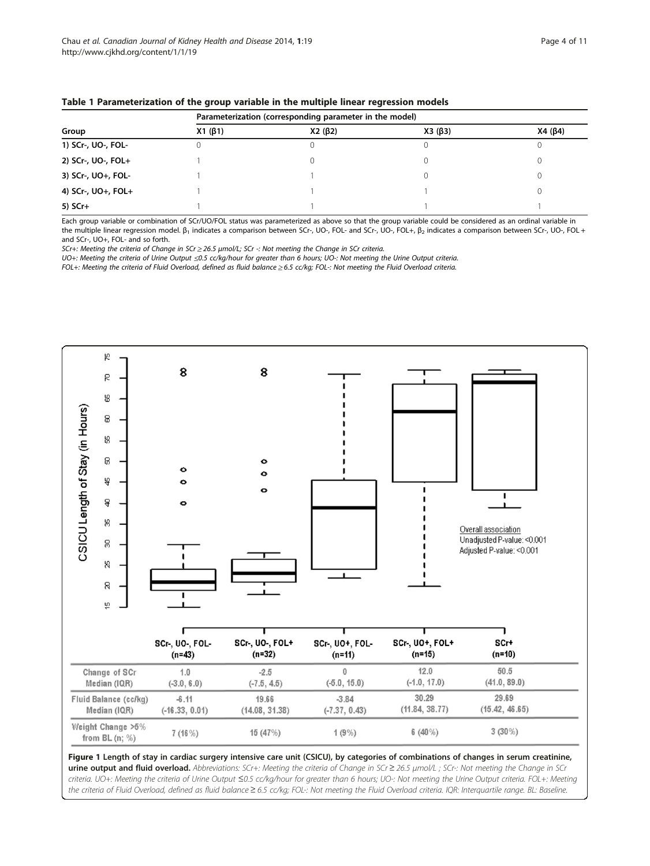| Group              | Parameterization (corresponding parameter in the model) |                   |              |         |  |  |
|--------------------|---------------------------------------------------------|-------------------|--------------|---------|--|--|
|                    | $X1(\beta1)$                                            | $X2$ ( $\beta$ 2) | $X3(\beta3)$ | X4 (β4) |  |  |
| 1) SCr-, UO-, FOL- |                                                         |                   |              | U       |  |  |
| 2) SCr-, UO-, FOL+ |                                                         |                   |              |         |  |  |
| 3) SCr-, UO+, FOL- |                                                         |                   |              |         |  |  |
| 4) SCr-, UO+, FOL+ |                                                         |                   |              |         |  |  |
| $5)$ SCr+          |                                                         |                   |              |         |  |  |

<span id="page-3-0"></span>Table 1 Parameterization of the group variable in the multiple linear regression models

Each group variable or combination of SCr/UO/FOL status was parameterized as above so that the group variable could be considered as an ordinal variable in the multiple linear regression model. β<sub>1</sub> indicates a comparison between SCr-, UO-, FOL- and SCr-, UO-, FOL+, β<sub>2</sub> indicates a comparison between SCr-, UO-, FOL + and SCr-, UO+, FOL- and so forth.

SCr+: Meeting the criteria of Change in SCr ≥ 26.5 µmol/L; SCr -: Not meeting the Change in SCr criteria.

UO+: Meeting the criteria of Urine Output ≤0.5 cc/kg/hour for greater than 6 hours; UO-: Not meeting the Urine Output criteria.

FOL+: Meeting the criteria of Fluid Overload, defined as fluid balance ≥ 6.5 cc/kg; FOL-: Not meeting the Fluid Overload criteria.



Figure 1 Length of stay in cardiac surgery intensive care unit (CSICU), by categories of combinations of changes in serum creatinine, urine output and fluid overload. Abbreviations: SCr+: Meeting the criteria of Change in SCr ≥ 26.5 µmol/L ; SCr-: Not meeting the Change in SCr criteria. UO+: Meeting the criteria of Urine Output ≤0.5 cc/kg/hour for greater than 6 hours; UO-: Not meeting the Urine Output criteria. FOL+: Meeting the criteria of Fluid Overload, defined as fluid balance ≥ 6.5 cc/kg; FOL-: Not meeting the Fluid Overload criteria. IQR: Interquartile range. BL: Baseline.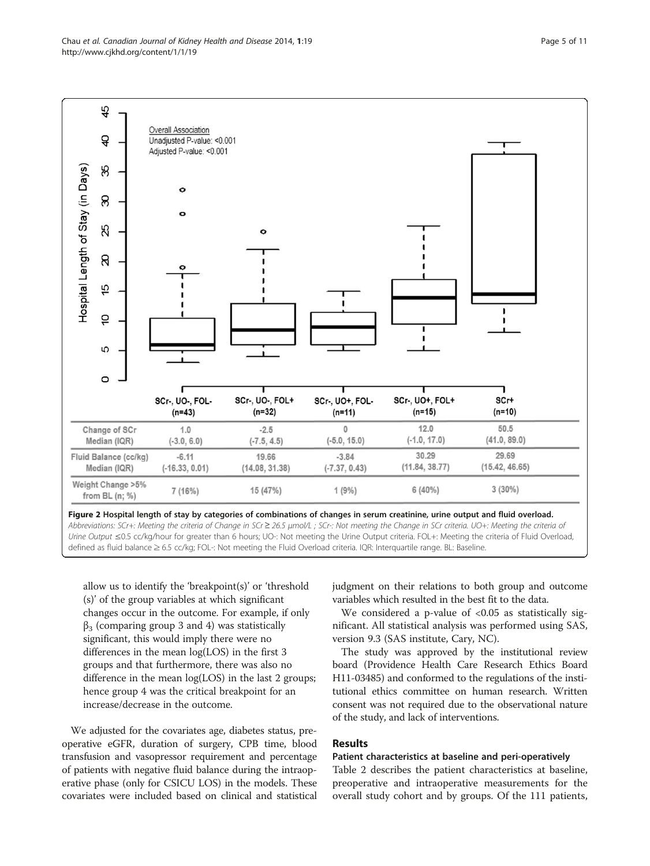<span id="page-4-0"></span>

Figure 2 Hospital length of stay by categories of combinations of changes in serum creatinine, urine output and fluid overload. Abbreviations: SCr+: Meeting the criteria of Change in SCr ≥ 26.5 µmol/L ; SCr-: Not meeting the Change in SCr criteria. UO+: Meeting the criteria of Urine Output ≤0.5 cc/kg/hour for greater than 6 hours; UO-: Not meeting the Urine Output criteria. FOL+: Meeting the criteria of Fluid Overload, defined as fluid balance ≥ 6.5 cc/kg; FOL-: Not meeting the Fluid Overload criteria. IQR: Interquartile range. BL: Baseline.

allow us to identify the 'breakpoint(s)' or 'threshold (s)' of the group variables at which significant changes occur in the outcome. For example, if only  $β<sub>3</sub>$  (comparing group 3 and 4) was statistically significant, this would imply there were no differences in the mean log(LOS) in the first 3 groups and that furthermore, there was also no difference in the mean log(LOS) in the last 2 groups; hence group 4 was the critical breakpoint for an increase/decrease in the outcome.

We adjusted for the covariates age, diabetes status, preoperative eGFR, duration of surgery, CPB time, blood transfusion and vasopressor requirement and percentage of patients with negative fluid balance during the intraoperative phase (only for CSICU LOS) in the models. These covariates were included based on clinical and statistical judgment on their relations to both group and outcome variables which resulted in the best fit to the data.

We considered a p-value of  $< 0.05$  as statistically significant. All statistical analysis was performed using SAS, version 9.3 (SAS institute, Cary, NC).

The study was approved by the institutional review board (Providence Health Care Research Ethics Board H11-03485) and conformed to the regulations of the institutional ethics committee on human research. Written consent was not required due to the observational nature of the study, and lack of interventions.

## Results

#### Patient characteristics at baseline and peri-operatively

Table [2](#page-5-0) describes the patient characteristics at baseline, preoperative and intraoperative measurements for the overall study cohort and by groups. Of the 111 patients,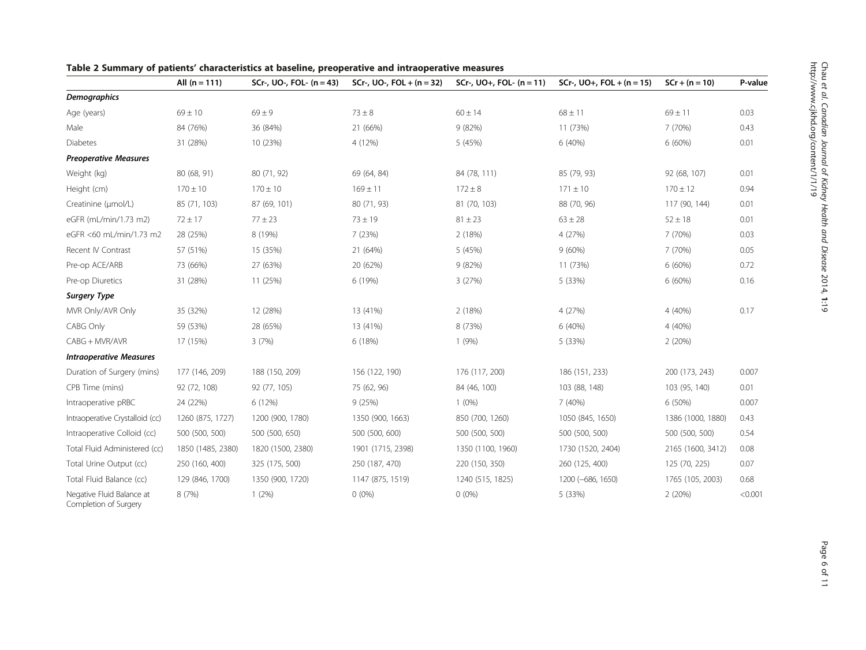<span id="page-5-0"></span>

| Table 2 Summary of patients' characteristics at baseline, preoperative and intraoperative measures |                   |                            |                             |                               |                              |                   |         |
|----------------------------------------------------------------------------------------------------|-------------------|----------------------------|-----------------------------|-------------------------------|------------------------------|-------------------|---------|
|                                                                                                    | All $(n = 111)$   | SCr-, UO-, FOL- $(n = 43)$ | SCr-, UO-, $FOL + (n = 32)$ | SCr-, $UO+$ , FOL- $(n = 11)$ | SCr-, $UO+$ , FOL + (n = 15) | $SCr + (n = 10)$  | P-value |
| <b>Demographics</b>                                                                                |                   |                            |                             |                               |                              |                   |         |
| Age (years)                                                                                        | $69 \pm 10$       | $69 \pm 9$                 | $73 \pm 8$                  | $60 \pm 14$                   | $68 \pm 11$                  | $69 \pm 11$       | 0.03    |
| Male                                                                                               | 84 (76%)          | 36 (84%)                   | 21 (66%)                    | 9 (82%)                       | 11 (73%)                     | 7 (70%)           | 0.43    |
| Diabetes                                                                                           | 31 (28%)          | 10 (23%)                   | 4 (12%)                     | 5 (45%)                       | 6 (40%)                      | 6 (60%)           | 0.01    |
| <b>Preoperative Measures</b>                                                                       |                   |                            |                             |                               |                              |                   |         |
| Weight (kg)                                                                                        | 80 (68, 91)       | 80 (71, 92)                | 69 (64, 84)                 | 84 (78, 111)                  | 85 (79, 93)                  | 92 (68, 107)      | 0.01    |
| Height (cm)                                                                                        | $170 \pm 10$      | $170 \pm 10$               | $169 \pm 11$                | $172 \pm 8$                   | $171 \pm 10$                 | $170 \pm 12$      | 0.94    |
| Creatinine (µmol/L)                                                                                | 85 (71, 103)      | 87 (69, 101)               | 80 (71, 93)                 | 81 (70, 103)                  | 88 (70, 96)                  | 117 (90, 144)     | 0.01    |
| eGFR (mL/min/1.73 m2)                                                                              | $72 \pm 17$       | $77 \pm 23$                | $73 \pm 19$                 | $81 \pm 23$                   | $63 \pm 28$                  | $52 \pm 18$       | 0.01    |
| eGFR <60 mL/min/1.73 m2                                                                            | 28 (25%)          | 8 (19%)                    | 7 (23%)                     | 2 (18%)                       | 4 (27%)                      | 7 (70%)           | 0.03    |
| Recent IV Contrast                                                                                 | 57 (51%)          | 15 (35%)                   | 21 (64%)                    | 5 (45%)                       | $9(60\%)$                    | 7 (70%)           | 0.05    |
| Pre-op ACE/ARB                                                                                     | 73 (66%)          | 27 (63%)                   | 20 (62%)                    | 9 (82%)                       | 11 (73%)                     | 6 (60%)           | 0.72    |
| Pre-op Diuretics                                                                                   | 31 (28%)          | 11 (25%)                   | 6 (19%)                     | 3 (27%)                       | 5 (33%)                      | 6 (60%)           | 0.16    |
| <b>Surgery Type</b>                                                                                |                   |                            |                             |                               |                              |                   |         |
| MVR Only/AVR Only                                                                                  | 35 (32%)          | 12 (28%)                   | 13 (41%)                    | 2 (18%)                       | 4(27%)                       | 4 (40%)           | 0.17    |
| CABG Only                                                                                          | 59 (53%)          | 28 (65%)                   | 13 (41%)                    | 8 (73%)                       | 6 (40%)                      | 4 (40%)           |         |
| CABG + MVR/AVR                                                                                     | 17 (15%)          | 3(7%)                      | 6 (18%)                     | 1(9%)                         | 5 (33%)                      | 2(20%)            |         |
| <b>Intraoperative Measures</b>                                                                     |                   |                            |                             |                               |                              |                   |         |
| Duration of Surgery (mins)                                                                         | 177 (146, 209)    | 188 (150, 209)             | 156 (122, 190)              | 176 (117, 200)                | 186 (151, 233)               | 200 (173, 243)    | 0.007   |
| CPB Time (mins)                                                                                    | 92 (72, 108)      | 92 (77, 105)               | 75 (62, 96)                 | 84 (46, 100)                  | 103 (88, 148)                | 103 (95, 140)     | 0.01    |
| Intraoperative pRBC                                                                                | 24 (22%)          | 6 (12%)                    | 9(25%)                      | $1(0\%)$                      | 7 (40%)                      | 6 (50%)           | 0.007   |
| Intraoperative Crystalloid (cc)                                                                    | 1260 (875, 1727)  | 1200 (900, 1780)           | 1350 (900, 1663)            | 850 (700, 1260)               | 1050 (845, 1650)             | 1386 (1000, 1880) | 0.43    |
| Intraoperative Colloid (cc)                                                                        | 500 (500, 500)    | 500 (500, 650)             | 500 (500, 600)              | 500 (500, 500)                | 500 (500, 500)               | 500 (500, 500)    | 0.54    |
| Total Fluid Administered (cc)                                                                      | 1850 (1485, 2380) | 1820 (1500, 2380)          | 1901 (1715, 2398)           | 1350 (1100, 1960)             | 1730 (1520, 2404)            | 2165 (1600, 3412) | 0.08    |
| Total Urine Output (cc)                                                                            | 250 (160, 400)    | 325 (175, 500)             | 250 (187, 470)              | 220 (150, 350)                | 260 (125, 400)               | 125 (70, 225)     | 0.07    |
| Total Fluid Balance (cc)                                                                           | 129 (846, 1700)   | 1350 (900, 1720)           | 1147 (875, 1519)            | 1240 (515, 1825)              | 1200 (-686, 1650)            | 1765 (105, 2003)  | 0.68    |
| Negative Fluid Balance at<br>Completion of Surgery                                                 | 8 (7%)            | $1(2\%)$                   | $0(0\%)$                    | $0(0\%)$                      | 5 (33%)                      | 2(20%)            | < 0.001 |

2014, 1:19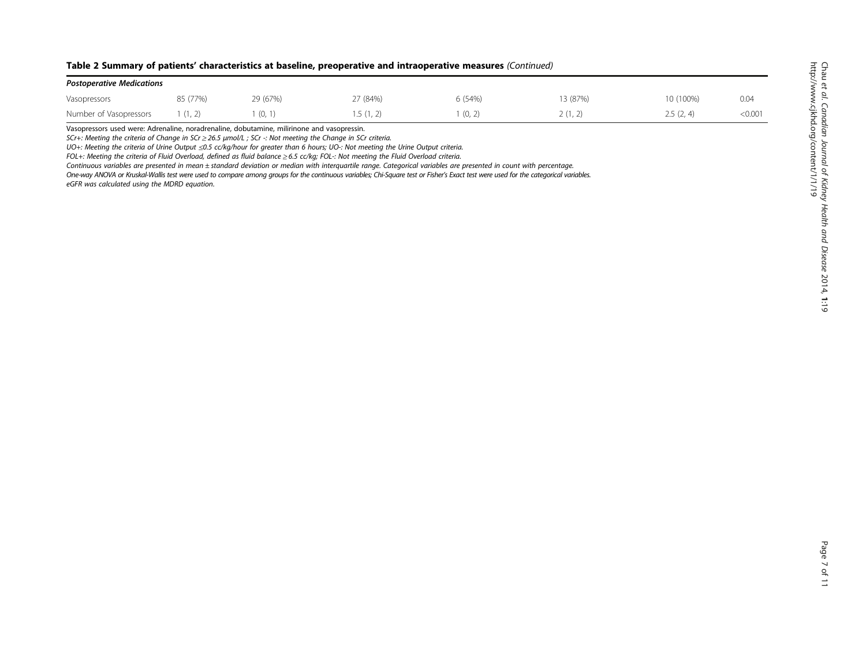# Postoperative Medications Vasopressors 85 (77%) 29 (67%) 27 (84%) 6 (54%) 13 (87%) 10 (100%) 0.04 Number of Vasopressors 1 (1, 2) 1 (0, 1) 1.5 (1, 2) 1 (0, 2) 2 (1, 2) 2.5 (2, 4) <0.001

#### Table 2 Summary of patients' characteristics at baseline, preoperative and intraoperative measures (Continued)

Vasopressors used were: Adrenaline, noradrenaline, dobutamine, milirinone and vasopressin.

SCr+: Meeting the criteria of Change in SCr ≥ 26.5 µmol/L; SCr -: Not meeting the Change in SCr criteria.

UO+: Meeting the criteria of Urine Output ≤0.5 cc/kg/hour for greater than 6 hours; UO-: Not meeting the Urine Output criteria.

FOL+: Meeting the criteria of Fluid Overload, defined as fluid balance ≥ 6.5 cc/kg; FOL-: Not meeting the Fluid Overload criteria.

Continuous variables are presented in mean ± standard deviation or median with interquartile range. Categorical variables are presented in count with percentage.

One-way ANOVA or Kruskal-Wallis test were used to compare among groups for the continuous variables; Chi-Square test or Fisher's Exact test were used for the categorical variables.

eGFR was calculated using the MDRD equation.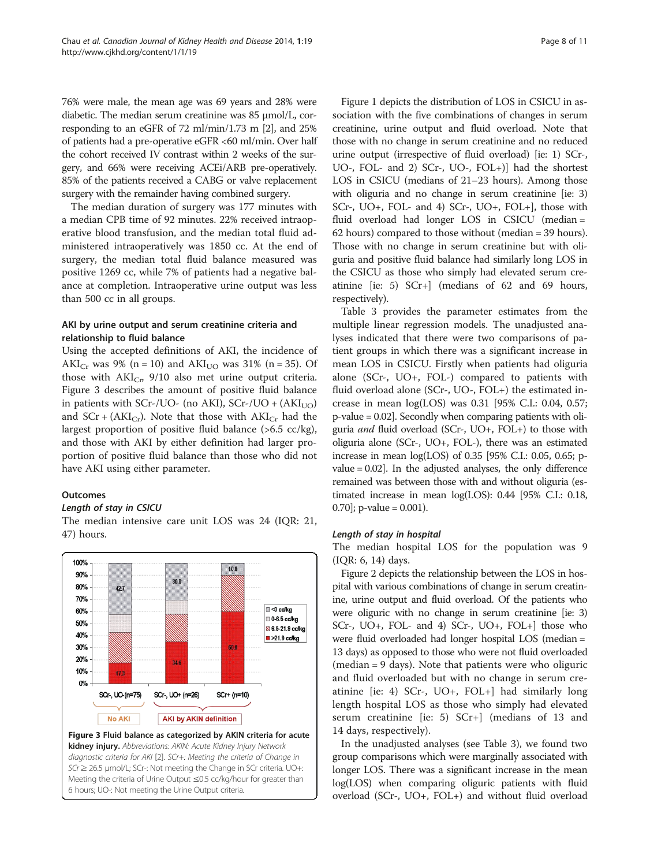76% were male, the mean age was 69 years and 28% were diabetic. The median serum creatinine was 85 μmol/L, corresponding to an eGFR of 72 ml/min/1.73 m [\[2](#page-9-0)], and 25% of patients had a pre-operative eGFR <60 ml/min. Over half the cohort received IV contrast within 2 weeks of the surgery, and 66% were receiving ACEi/ARB pre-operatively. 85% of the patients received a CABG or valve replacement surgery with the remainder having combined surgery.

The median duration of surgery was 177 minutes with a median CPB time of 92 minutes. 22% received intraoperative blood transfusion, and the median total fluid administered intraoperatively was 1850 cc. At the end of surgery, the median total fluid balance measured was positive 1269 cc, while 7% of patients had a negative balance at completion. Intraoperative urine output was less than 500 cc in all groups.

# AKI by urine output and serum creatinine criteria and relationship to fluid balance

Using the accepted definitions of AKI, the incidence of AKI<sub>Cr</sub> was 9% (n = 10) and AKI<sub>UO</sub> was 31% (n = 35). Of those with  $AKI<sub>Cn</sub>$  9/10 also met urine output criteria. Figure 3 describes the amount of positive fluid balance in patients with SCr-/UO- (no AKI), SCr-/UO +  $(AKI_{UO})$ and  $SCr + (AKI_{Cr})$ . Note that those with  $AKI_{Cr}$  had the largest proportion of positive fluid balance (>6.5 cc/kg), and those with AKI by either definition had larger proportion of positive fluid balance than those who did not have AKI using either parameter.

#### **Outcomes**

#### Length of stay in CSICU

The median intensive care unit LOS was 24 (IQR: 21, 47) hours.





Figure [1](#page-3-0) depicts the distribution of LOS in CSICU in association with the five combinations of changes in serum creatinine, urine output and fluid overload. Note that those with no change in serum creatinine and no reduced urine output (irrespective of fluid overload) [ie: 1) SCr-, UO-, FOL- and 2) SCr-, UO-, FOL+)] had the shortest LOS in CSICU (medians of 21–23 hours). Among those with oliguria and no change in serum creatinine [ie: 3) SCr-, UO+, FOL- and 4) SCr-, UO+, FOL+], those with fluid overload had longer LOS in CSICU (median = 62 hours) compared to those without (median = 39 hours). Those with no change in serum creatinine but with oliguria and positive fluid balance had similarly long LOS in the CSICU as those who simply had elevated serum creatinine [ie: 5)  $SCr+$ ] (medians of 62 and 69 hours, respectively).

Table [3](#page-8-0) provides the parameter estimates from the multiple linear regression models. The unadjusted analyses indicated that there were two comparisons of patient groups in which there was a significant increase in mean LOS in CSICU. Firstly when patients had oliguria alone (SCr-, UO+, FOL-) compared to patients with fluid overload alone (SCr-, UO-, FOL+) the estimated increase in mean log(LOS) was 0.31 [95% C.I.: 0.04, 0.57; p-value = 0.02]. Secondly when comparing patients with oliguria *and* fluid overload (SCr-, UO+, FOL+) to those with oliguria alone (SCr-, UO+, FOL-), there was an estimated increase in mean log(LOS) of 0.35 [95% C.I.: 0.05, 0.65; pvalue = 0.02]. In the adjusted analyses, the only difference remained was between those with and without oliguria (estimated increase in mean log(LOS): 0.44 [95% C.I.: 0.18, 0.70]; p-value = 0.001).

#### Length of stay in hospital

The median hospital LOS for the population was 9 (IQR: 6, 14) days.

Figure [2](#page-4-0) depicts the relationship between the LOS in hospital with various combinations of change in serum creatinine, urine output and fluid overload. Of the patients who were oliguric with no change in serum creatinine [ie: 3) SCr-, UO+, FOL- and 4) SCr-, UO+, FOL+] those who were fluid overloaded had longer hospital LOS (median = 13 days) as opposed to those who were not fluid overloaded (median = 9 days). Note that patients were who oliguric and fluid overloaded but with no change in serum creatinine [ie: 4) SCr-, UO+, FOL+] had similarly long length hospital LOS as those who simply had elevated serum creatinine [ie: 5) SCr+] (medians of 13 and 14 days, respectively).

In the unadjusted analyses (see Table [3](#page-8-0)), we found two group comparisons which were marginally associated with longer LOS. There was a significant increase in the mean log(LOS) when comparing oliguric patients with fluid overload (SCr-, UO+, FOL+) and without fluid overload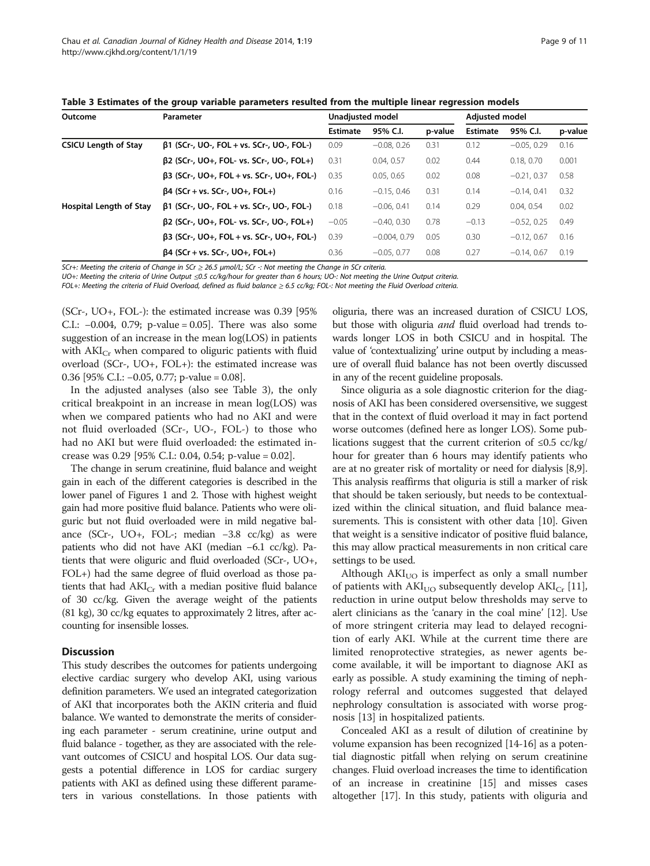<span id="page-8-0"></span>Table 3 Estimates of the group variable parameters resulted from the multiple linear regression models

| Outcome                        | Parameter                                            | Unadjusted model |               |         | <b>Adjusted model</b> |               |         |
|--------------------------------|------------------------------------------------------|------------------|---------------|---------|-----------------------|---------------|---------|
|                                |                                                      | <b>Estimate</b>  | 95% C.I.      | p-value | <b>Estimate</b>       | 95% C.I.      | p-value |
| <b>CSICU Length of Stay</b>    | $\beta$ 1 (SCr-, UO-, FOL + vs. SCr-, UO-, FOL-)     | 0.09             | $-0.08, 0.26$ | 0.31    | 0.12                  | $-0.05, 0.29$ | 0.16    |
|                                | β2 (SCr-, UO+, FOL- vs. SCr-, UO-, FOL+)             | 0.31             | 0.04, 0.57    | 0.02    | 0.44                  | 0.18.0.70     | 0.001   |
|                                | $\beta$ 3 (SCr-, UO+, FOL + vs. SCr-, UO+, FOL-)     | 0.35             | 0.05, 0.65    | 0.02    | 0.08                  | $-0.21, 0.37$ | 0.58    |
|                                | $\beta$ 4 (SCr + vs. SCr-, UO+, FOL+)                | 0.16             | $-0.15.0.46$  | 0.31    | 0.14                  | $-0.14.041$   | 0.32    |
| <b>Hospital Length of Stay</b> | $\beta$ 1 (SCr-, UO-, FOL + vs. SCr-, UO-, FOL-)     | 0.18             | $-0.06, 0.41$ | 0.14    | 0.29                  | 0.04.0.54     | 0.02    |
|                                | B <sub>2</sub> (SCr-, UO+, FOL- vs. SCr-, UO-, FOL+) | $-0.05$          | $-0.40.030$   | 0.78    | $-0.13$               | $-0.52.0.25$  | 0.49    |
|                                | $\beta$ 3 (SCr-, UO+, FOL + vs. SCr-, UO+, FOL-)     | 0.39             | $-0.004.0.79$ | 0.05    | 0.30                  | $-0.12.067$   | 0.16    |
|                                | $\beta$ 4 (SCr + vs. SCr-, UO+, FOL+)                | 0.36             | $-0.05, 0.77$ | 0.08    | 0.27                  | $-0.14.067$   | 0.19    |

SCr+: Meeting the criteria of Change in SCr ≥ 26.5 µmol/L; SCr -: Not meeting the Change in SCr criteria.

UO+: Meeting the criteria of Urine Output ≤0.5 cc/kg/hour for greater than 6 hours; UO-: Not meeting the Urine Output criteria.

FOL+: Meeting the criteria of Fluid Overload, defined as fluid balance ≥ 6.5 cc/kg; FOL-: Not meeting the Fluid Overload criteria.

(SCr-, UO+, FOL-): the estimated increase was 0.39 [95% C.I.:  $-0.004$ , 0.79; p-value = 0.05]. There was also some suggestion of an increase in the mean log(LOS) in patients with  $AKI<sub>Cr</sub>$  when compared to oliguric patients with fluid overload (SCr-, UO+, FOL+): the estimated increase was 0.36 [95% C.I.:  $-0.05$ , 0.77; p-value = 0.08].

In the adjusted analyses (also see Table 3), the only critical breakpoint in an increase in mean log(LOS) was when we compared patients who had no AKI and were not fluid overloaded (SCr-, UO-, FOL-) to those who had no AKI but were fluid overloaded: the estimated increase was 0.29 [95% C.I.: 0.04, 0.54; p-value = 0.02].

The change in serum creatinine, fluid balance and weight gain in each of the different categories is described in the lower panel of Figures [1](#page-3-0) and [2.](#page-4-0) Those with highest weight gain had more positive fluid balance. Patients who were oliguric but not fluid overloaded were in mild negative balance (SCr-, UO+, FOL-; median −3.8 cc/kg) as were patients who did not have AKI (median −6.1 cc/kg). Patients that were oliguric and fluid overloaded (SCr-, UO+, FOL+) had the same degree of fluid overload as those patients that had  $AKI<sub>Cr</sub>$  with a median positive fluid balance of 30 cc/kg. Given the average weight of the patients (81 kg), 30 cc/kg equates to approximately 2 litres, after accounting for insensible losses.

#### **Discussion**

This study describes the outcomes for patients undergoing elective cardiac surgery who develop AKI, using various definition parameters. We used an integrated categorization of AKI that incorporates both the AKIN criteria and fluid balance. We wanted to demonstrate the merits of considering each parameter - serum creatinine, urine output and fluid balance - together, as they are associated with the relevant outcomes of CSICU and hospital LOS. Our data suggests a potential difference in LOS for cardiac surgery patients with AKI as defined using these different parameters in various constellations. In those patients with

oliguria, there was an increased duration of CSICU LOS, but those with oliguria *and* fluid overload had trends towards longer LOS in both CSICU and in hospital. The value of 'contextualizing' urine output by including a measure of overall fluid balance has not been overtly discussed in any of the recent guideline proposals.

Since oliguria as a sole diagnostic criterion for the diagnosis of AKI has been considered oversensitive, we suggest that in the context of fluid overload it may in fact portend worse outcomes (defined here as longer LOS). Some publications suggest that the current criterion of ≤0.5 cc/kg/ hour for greater than 6 hours may identify patients who are at no greater risk of mortality or need for dialysis [[8,9](#page-10-0)]. This analysis reaffirms that oliguria is still a marker of risk that should be taken seriously, but needs to be contextualized within the clinical situation, and fluid balance measurements. This is consistent with other data [\[10](#page-10-0)]. Given that weight is a sensitive indicator of positive fluid balance, this may allow practical measurements in non critical care settings to be used.

Although  $AKI<sub>UO</sub>$  is imperfect as only a small number of patients with  $AKI<sub>UO</sub>$  subsequently develop  $AKI<sub>Cr</sub>$  [\[11](#page-10-0)], reduction in urine output below thresholds may serve to alert clinicians as the 'canary in the coal mine' [[12\]](#page-10-0). Use of more stringent criteria may lead to delayed recognition of early AKI. While at the current time there are limited renoprotective strategies, as newer agents become available, it will be important to diagnose AKI as early as possible. A study examining the timing of nephrology referral and outcomes suggested that delayed nephrology consultation is associated with worse prognosis [\[13](#page-10-0)] in hospitalized patients.

Concealed AKI as a result of dilution of creatinine by volume expansion has been recognized [\[14-16\]](#page-10-0) as a potential diagnostic pitfall when relying on serum creatinine changes. Fluid overload increases the time to identification of an increase in creatinine [\[15\]](#page-10-0) and misses cases altogether [\[17\]](#page-10-0). In this study, patients with oliguria and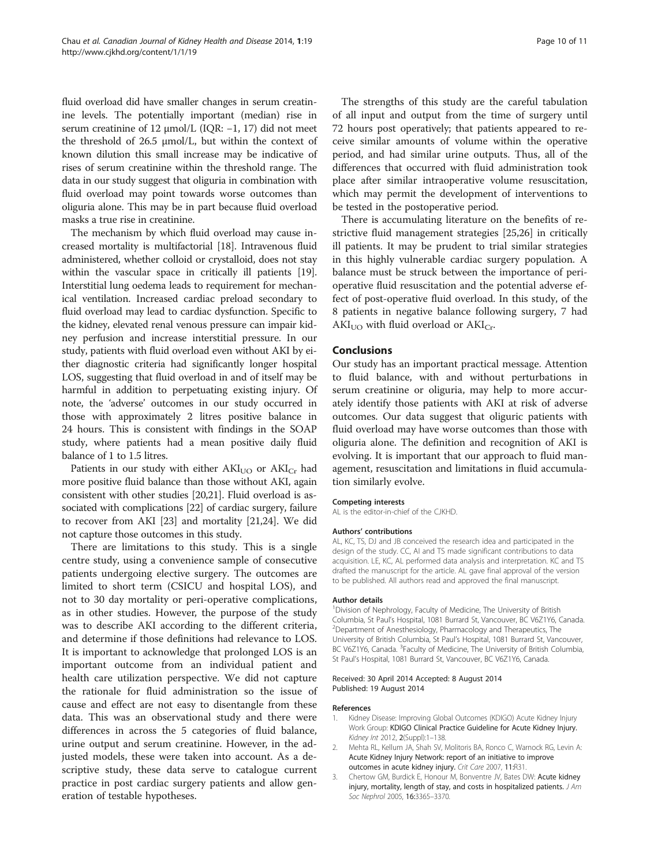<span id="page-9-0"></span>fluid overload did have smaller changes in serum creatinine levels. The potentially important (median) rise in serum creatinine of 12 μmol/L (IQR: -1, 17) did not meet the threshold of 26.5 μmol/L, but within the context of known dilution this small increase may be indicative of rises of serum creatinine within the threshold range. The data in our study suggest that oliguria in combination with fluid overload may point towards worse outcomes than oliguria alone. This may be in part because fluid overload masks a true rise in creatinine.

The mechanism by which fluid overload may cause increased mortality is multifactorial [\[18\]](#page-10-0). Intravenous fluid administered, whether colloid or crystalloid, does not stay within the vascular space in critically ill patients [[19](#page-10-0)]. Interstitial lung oedema leads to requirement for mechanical ventilation. Increased cardiac preload secondary to fluid overload may lead to cardiac dysfunction. Specific to the kidney, elevated renal venous pressure can impair kidney perfusion and increase interstitial pressure. In our study, patients with fluid overload even without AKI by either diagnostic criteria had significantly longer hospital LOS, suggesting that fluid overload in and of itself may be harmful in addition to perpetuating existing injury. Of note, the 'adverse' outcomes in our study occurred in those with approximately 2 litres positive balance in 24 hours. This is consistent with findings in the SOAP study, where patients had a mean positive daily fluid balance of 1 to 1.5 litres.

Patients in our study with either  $AKI<sub>UO</sub>$  or  $AKI<sub>Cr</sub>$  had more positive fluid balance than those without AKI, again consistent with other studies [\[20,21](#page-10-0)]. Fluid overload is associated with complications [[22](#page-10-0)] of cardiac surgery, failure to recover from AKI [[23](#page-10-0)] and mortality [\[21,24](#page-10-0)]. We did not capture those outcomes in this study.

There are limitations to this study. This is a single centre study, using a convenience sample of consecutive patients undergoing elective surgery. The outcomes are limited to short term (CSICU and hospital LOS), and not to 30 day mortality or peri-operative complications, as in other studies. However, the purpose of the study was to describe AKI according to the different criteria, and determine if those definitions had relevance to LOS. It is important to acknowledge that prolonged LOS is an important outcome from an individual patient and health care utilization perspective. We did not capture the rationale for fluid administration so the issue of cause and effect are not easy to disentangle from these data. This was an observational study and there were differences in across the 5 categories of fluid balance, urine output and serum creatinine. However, in the adjusted models, these were taken into account. As a descriptive study, these data serve to catalogue current practice in post cardiac surgery patients and allow generation of testable hypotheses.

The strengths of this study are the careful tabulation of all input and output from the time of surgery until 72 hours post operatively; that patients appeared to receive similar amounts of volume within the operative period, and had similar urine outputs. Thus, all of the differences that occurred with fluid administration took place after similar intraoperative volume resuscitation, which may permit the development of interventions to be tested in the postoperative period.

There is accumulating literature on the benefits of restrictive fluid management strategies [[25,26\]](#page-10-0) in critically ill patients. It may be prudent to trial similar strategies in this highly vulnerable cardiac surgery population. A balance must be struck between the importance of perioperative fluid resuscitation and the potential adverse effect of post-operative fluid overload. In this study, of the 8 patients in negative balance following surgery, 7 had  $AKI<sub>UO</sub>$  with fluid overload or  $AKI<sub>Cr</sub>$ .

#### **Conclusions**

Our study has an important practical message. Attention to fluid balance, with and without perturbations in serum creatinine or oliguria, may help to more accurately identify those patients with AKI at risk of adverse outcomes. Our data suggest that oliguric patients with fluid overload may have worse outcomes than those with oliguria alone. The definition and recognition of AKI is evolving. It is important that our approach to fluid management, resuscitation and limitations in fluid accumulation similarly evolve.

#### Competing interests

AL is the editor-in-chief of the CJKHD.

#### Authors' contributions

AL, KC, TS, DJ and JB conceived the research idea and participated in the design of the study. CC, AI and TS made significant contributions to data acquisition. LE, KC, AL performed data analysis and interpretation. KC and TS drafted the manuscript for the article. AL gave final approval of the version to be published. All authors read and approved the final manuscript.

#### Author details

<sup>1</sup> Division of Nephrology, Faculty of Medicine, The University of British Columbia, St Paul's Hospital, 1081 Burrard St, Vancouver, BC V6Z1Y6, Canada. <sup>2</sup> <sup>2</sup>Department of Anesthesiology, Pharmacology and Therapeutics, The University of British Columbia, St Paul's Hospital, 1081 Burrard St, Vancouver, BC V6Z1Y6, Canada. <sup>3</sup> Faculty of Medicine, The University of British Columbia, St Paul's Hospital, 1081 Burrard St, Vancouver, BC V6Z1Y6, Canada.

#### Received: 30 April 2014 Accepted: 8 August 2014 Published: 19 August 2014

#### References

- 1. Kidney Disease: Improving Global Outcomes (KDIGO) Acute Kidney Injury Work Group: KDIGO Clinical Practice Guideline for Acute Kidney Injury. Kidney Int 2012, 2(Suppl):1-138.
- 2. Mehta RL, Kellum JA, Shah SV, Molitoris BA, Ronco C, Warnock RG, Levin A: Acute Kidney Injury Network: report of an initiative to improve outcomes in acute kidney injury. Crit Care 2007, 11:R31.
- 3. Chertow GM, Burdick E, Honour M, Bonventre JV, Bates DW: Acute kidney injury, mortality, length of stay, and costs in hospitalized patients. J Am Soc Nephrol 2005, 16:3365–3370.